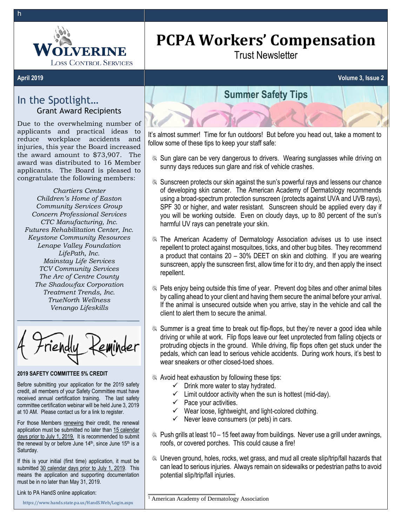

# **PCPA Workers' Compensation**

Trust Newsletter

# In the Spotlight… Grant Award Recipients

Due to the overwhelming number of applicants and practical ideas to reduce workplace accidents and injuries, this year the Board increased the award amount to \$73,907. The award was distributed to 16 Member applicants. The Board is pleased to congratulate the following members:

*Chartiers Center Children's Home of Easton Community Services Group Concern Professional Services CTC Manufacturing, Inc. Futures Rehabilitation Center, Inc. Keystone Community Resources Lenape Valley Foundation LifePath, Inc. Mainstay Life Services TCV Community Services The Arc of Centre County The Shadowfax Corporation Treatment Trends, Inc. TrueNorth Wellness Venango Lifeskills*

### **2019 SAFETY COMMITTEE 5% CREDIT**

Before submitting your application for the 2019 safety credit, all members of your Safety Committee must have received annual certification training. The last safety committee certification webinar will be held June 3, 2019 at 10 AM. Please contact us for a link to register.

For those Members renewing their credit, the renewal application must be submitted no later than 15 calendar days prior to July 1, 2019. It is recommended to submit the renewal by or before June 14<sup>th</sup>, since June 15<sup>th</sup> is a Saturday.

If this is your initial (first time) application, it must be submitted 30 calendar days prior to July 1, 2019. This means the application and supporting documentation must be in no later than May 31, 2019.

Link to PA HandS online application:

<https://www.hands.state.pa.us/HandS.Web/Login.aspx>



It's almost summer! Time for fun outdoors! But before you head out, take a moment to follow some of these tips to keep your staff safe:

- Sun glare can be very dangerous to drivers. Wearing sunglasses while driving on sunny days reduces sun glare and risk of vehicle crashes.
- Sunscreen protects our skin against the sun's powerful rays and lessens our chance of developing skin cancer. The American Academy of Dermatology recommends using a broad-spectrum protection sunscreen (protects against UVA and UVB rays), SPF 30 or higher, and water resistant. Sunscreen should be applied every day if you will be working outside. Even on cloudy days, up to 80 percent of the sun's harmful UV rays can penetrate your skin.
- **EXAM** The American Academy of Dermatology Association advises us to use insect repellent to protect against mosquitoes, ticks, and other bug bites. They recommend a product that contains 20 – 30% DEET on skin and clothing. If you are wearing sunscreen, apply the sunscreen first, allow time for it to dry, and then apply the insect repellent.
- Pets enjoy being outside this time of year. Prevent dog bites and other animal bites by calling ahead to your client and having them secure the animal before your arrival. If the animal is unsecured outside when you arrive, stay in the vehicle and call the client to alert them to secure the animal.
- Summer is a great time to break out flip-flops, but they're never a good idea while driving or while at work. Flip flops leave our feet unprotected from falling objects or protruding objects in the ground. While driving, flip flops often get stuck under the pedals, which can lead to serious vehicle accidents. During work hours, it's best to wear sneakers or other closed-toed shoes.
- **Avoid heat exhaustion by following these tips:** 
	- $\checkmark$  Drink more water to stay hydrated.
	- $\checkmark$  Limit outdoor activity when the sun is hottest (mid-day).
	- $\checkmark$  Pace your activities.
	- ✓ Wear loose, lightweight, and light-colored clothing.
	- $\checkmark$  Never leave consumers (or pets) in cars.
- Push grills at least 10 15 feet away from buildings. Never use a grill under awnings, roofs, or covered porches. This could cause a fire!
- Uneven ground, holes, rocks, wet grass, and mud all create slip/trip/fall hazards that can lead to serious injuries. Always remain on sidewalks or pedestrian paths to avoid potential slip/trip/fall injuries.

<sup>1</sup> American Academy of Dermatology Association

\_\_\_\_\_\_\_\_\_\_\_\_\_\_\_\_\_\_\_\_\_\_\_\_\_\_\_\_\_\_\_\_

h